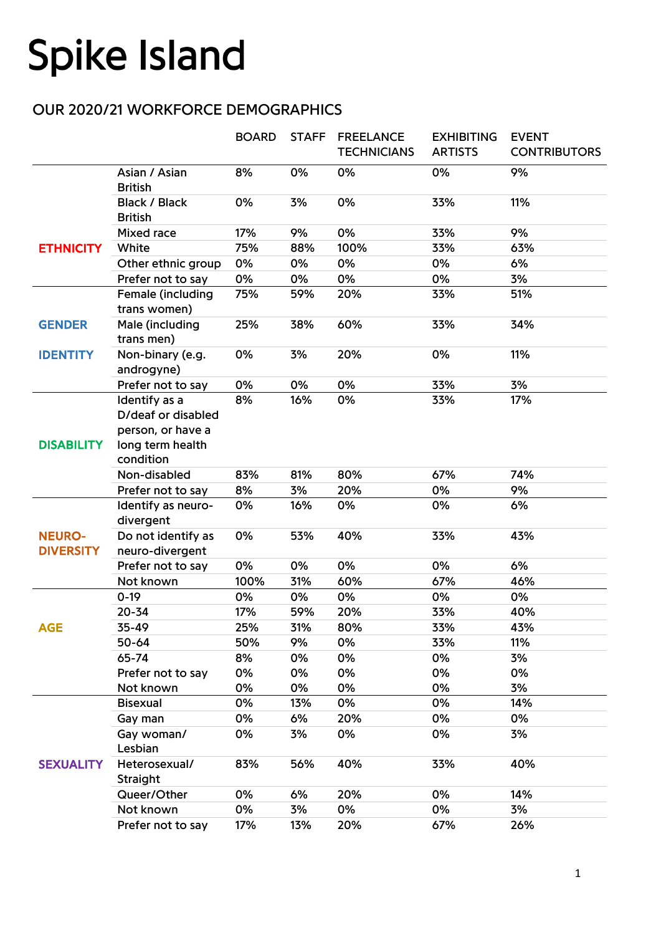## **Spike Island**

## OUR 2020/21 WORKFORCE DEMOGRAPHICS

|                                   |                                                                                           | <b>BOARD</b> | <b>STAFF</b> | <b>FREELANCE</b><br><b>TECHNICIANS</b> | <b>EXHIBITING</b><br><b>ARTISTS</b> | <b>EVENT</b><br><b>CONTRIBUTORS</b> |
|-----------------------------------|-------------------------------------------------------------------------------------------|--------------|--------------|----------------------------------------|-------------------------------------|-------------------------------------|
|                                   | Asian / Asian<br><b>British</b>                                                           | 8%           | 0%           | 0%                                     | 0%                                  | 9%                                  |
|                                   | <b>Black / Black</b><br><b>British</b>                                                    | 0%           | 3%           | 0%                                     | 33%                                 | 11%                                 |
| <b>ETHNICITY</b>                  | <b>Mixed race</b>                                                                         | 17%          | 9%           | 0%                                     | 33%                                 | 9%                                  |
|                                   | White                                                                                     | 75%          | 88%          | 100%                                   | 33%                                 | 63%                                 |
|                                   | Other ethnic group                                                                        | 0%           | 0%           | 0%                                     | 0%                                  | 6%                                  |
|                                   | Prefer not to say                                                                         | 0%           | 0%           | 0%                                     | 0%                                  | 3%                                  |
|                                   | Female (including<br>trans women)                                                         | 75%          | 59%          | 20%                                    | 33%                                 | 51%                                 |
| <b>GENDER</b>                     | Male (including<br>trans men)                                                             | 25%          | 38%          | 60%                                    | 33%                                 | 34%                                 |
| <b>IDENTITY</b>                   | Non-binary (e.g.<br>androgyne)                                                            | 0%           | 3%           | 20%                                    | 0%                                  | 11%                                 |
|                                   | Prefer not to say                                                                         | 0%           | 0%           | 0%                                     | 33%                                 | 3%                                  |
| <b>DISABILITY</b>                 | Identify as a<br>D/deaf or disabled<br>person, or have a<br>long term health<br>condition | 8%           | 16%          | 0%                                     | 33%                                 | 17%                                 |
|                                   | Non-disabled                                                                              | 83%          | 81%          | 80%                                    | 67%                                 | 74%                                 |
|                                   | Prefer not to say                                                                         | 8%           | 3%           | 20%                                    | 0%                                  | 9%                                  |
|                                   | Identify as neuro-                                                                        | 0%           | 16%          | 0%                                     | 0%                                  | 6%                                  |
| <b>NEURO-</b><br><b>DIVERSITY</b> | divergent                                                                                 |              |              |                                        |                                     |                                     |
|                                   | Do not identify as<br>neuro-divergent                                                     | 0%           | 53%          | 40%                                    | 33%                                 | 43%                                 |
|                                   | Prefer not to say                                                                         | 0%           | 0%           | 0%                                     | 0%                                  | 6%                                  |
|                                   | Not known                                                                                 | 100%         | 31%          | 60%                                    | 67%                                 | 46%                                 |
| <b>AGE</b>                        | $0-19$                                                                                    | 0%           | 0%           | 0%                                     | 0%                                  | 0%                                  |
|                                   | $20 - 34$                                                                                 | 17%          | 59%          | 20%                                    | 33%                                 | 40%                                 |
|                                   | 35-49                                                                                     | 25%          | 31%          | 80%                                    | 33%                                 | 43%                                 |
|                                   | 50-64                                                                                     | 50%          | 9%           | 0%                                     | 33%                                 | 11%                                 |
|                                   | 65-74                                                                                     | 8%           | 0%           | 0%                                     | 0%                                  | 3%                                  |
|                                   | Prefer not to say                                                                         | 0%           | 0%           | 0%                                     | 0%                                  | 0%                                  |
|                                   | Not known                                                                                 | 0%           | 0%           | 0%                                     | 0%                                  | 3%                                  |
| <b>SEXUALITY</b>                  | <b>Bisexual</b>                                                                           | 0%           | 13%          | 0%                                     | 0%                                  | 14%                                 |
|                                   | Gay man                                                                                   | 0%           | 6%           | 20%                                    | 0%                                  | 0%                                  |
|                                   | Gay woman/<br>Lesbian                                                                     | 0%           | 3%           | 0%                                     | 0%                                  | 3%                                  |
|                                   | Heterosexual/<br>Straight                                                                 | 83%          | 56%          | 40%                                    | 33%                                 | 40%                                 |
|                                   | Queer/Other                                                                               | 0%           | 6%           | 20%                                    | 0%                                  | 14%                                 |
|                                   | Not known                                                                                 | 0%           | 3%           | 0%                                     | 0%                                  | 3%                                  |
|                                   | Prefer not to say                                                                         | 17%          | 13%          | 20%                                    | 67%                                 | 26%                                 |